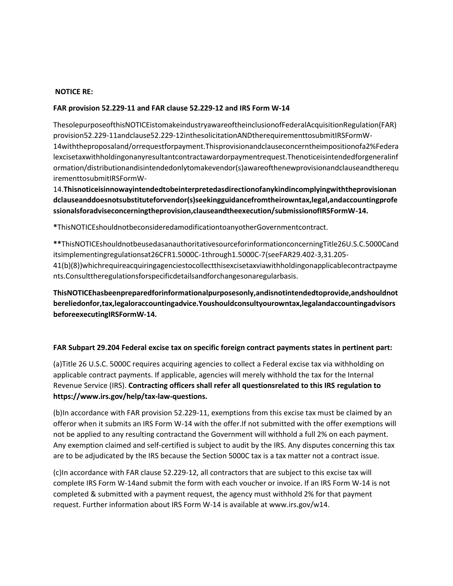#### **NOTICE RE:**

### **FAR provision 52.229-11 and FAR clause 52.229-12 and IRS Form W-14**

ThesolepurposeofthisNOTICEistomakeindustryawareoftheinclusionofFederalAcquisitionRegulation(FAR) provision52.229-11andclause52.229-12inthesolicitationANDtherequirementtosubmitIRSFormW-14withtheproposaland/orrequestforpayment.Thisprovisionandclauseconcerntheimpositionofa2%Federa lexcisetaxwithholdingonanyresultantcontractawardorpaymentrequest.Thenoticeisintendedforgeneralinf ormation/distributionandisintendedonlytomakevendor(s)awareofthenewprovisionandclauseandtherequ irementtosubmitIRSFormW-

14.**Thisnoticeisinnowayintendedtobeinterpretedasdirectionofanykindincomplyingwiththeprovisionan dclauseanddoesnotsubstituteforvendor(s)seekingguidancefromtheirowntax,legal,andaccountingprofe ssionalsforadviseconcerningtheprovision,clauseandtheexecution/submissionofIRSFormW-14.**

**\***ThisNOTICEshouldnotbeconsideredamodificationtoanyotherGovernmentcontract.

**\*\***ThisNOTICEshouldnotbeusedasanauthoritativesourceforinformationconcerningTitle26U.S.C.5000Cand itsimplementingregulationsat26CFR1.5000C-1through1.5000C-7(seeFAR29.402-3,31.205- 41(b)(8))whichrequireacquiringagenciestocollectthisexcisetaxviawithholdingonapplicablecontractpayme nts.Consulttheregulationsforspecificdetailsandforchangesonaregularbasis.

**ThisNOTICEhasbeenpreparedforinformationalpurposesonly,andisnotintendedtoprovide,andshouldnot bereliedonfor,tax,legaloraccountingadvice.Youshouldconsultyourowntax,legalandaccountingadvisors beforeexecutingIRSFormW-14.**

## **FAR Subpart 29.204 Federal excise tax on specific foreign contract payments states in pertinent part:**

(a)Title 26 U.S.C. 5000C requires acquiring agencies to collect a Federal excise tax via withholding on applicable contract payments. If applicable, agencies will merely withhold the tax for the Internal Revenue Service (IRS). **Contracting officers shall refer all questionsrelated to this IRS regulation to https://www.irs.gov/help/tax-law-questions.** 

(b)In accordance with FAR provision 52.229-11, exemptions from this excise tax must be claimed by an offeror when it submits an IRS Form W-14 with the offer.If not submitted with the offer exemptions will not be applied to any resulting contractand the Government will withhold a full 2% on each payment. Any exemption claimed and self-certified is subject to audit by the IRS. Any disputes concerning this tax are to be adjudicated by the IRS because the Section 5000C tax is a tax matter not a contract issue.

(c)In accordance with FAR clause 52.229-12, all contractors that are subject to this excise tax will complete IRS Form W-14and submit the form with each voucher or invoice. If an IRS Form W-14 is not completed & submitted with a payment request, the agency must withhold 2% for that payment request. Further information about IRS Form W-14 is available at www.irs.gov/w14.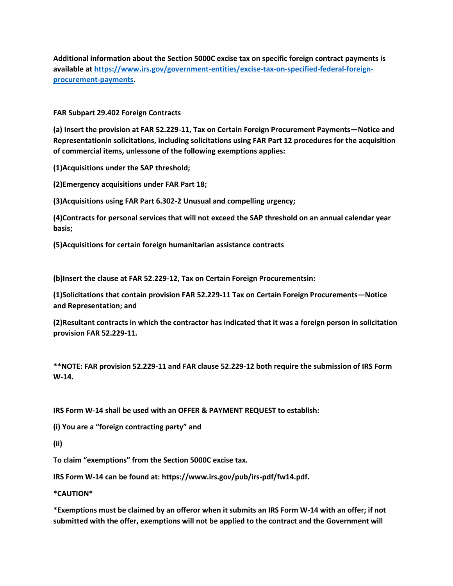**Additional information about the Section 5000C excise tax on specific foreign contract payments is available at [https://www.irs.gov/government-entities/excise-tax-on-specified-federal-foreign](https://www.irs.gov/government-entities/excise-tax-on-specified-federal-foreign-procurement-payments)[procurement-payments.](https://www.irs.gov/government-entities/excise-tax-on-specified-federal-foreign-procurement-payments)**

**FAR Subpart 29.402 Foreign Contracts**

**(a) Insert the provision at FAR 52.229-11, Tax on Certain Foreign Procurement Payments—Notice and Representationin solicitations, including solicitations using FAR Part 12 procedures for the acquisition of commercial items, unlessone of the following exemptions applies:**

**(1)Acquisitions under the SAP threshold;**

**(2)Emergency acquisitions under FAR Part 18;**

**(3)Acquisitions using FAR Part 6.302-2 Unusual and compelling urgency;**

**(4)Contracts for personal services that will not exceed the SAP threshold on an annual calendar year basis;**

**(5)Acquisitions for certain foreign humanitarian assistance contracts**

**(b)Insert the clause at FAR 52.229-12, Tax on Certain Foreign Procurementsin:**

**(1)Solicitations that contain provision FAR 52.229-11 Tax on Certain Foreign Procurements—Notice and Representation; and**

**(2)Resultant contracts in which the contractor has indicated that it was a foreign person in solicitation provision FAR 52.229-11.** 

**\*\*NOTE: FAR provision 52.229-11 and FAR clause 52.229-12 both require the submission of IRS Form W-14.**

**IRS Form W-14 shall be used with an OFFER & PAYMENT REQUEST to establish:**

**(i) You are a "foreign contracting party" and**

**(ii)**

**To claim "exemptions" from the Section 5000C excise tax.**

**IRS Form W-14 can be found at: https://www.irs.gov/pub/irs-pdf/fw14.pdf.**

**\*CAUTION\***

**\*Exemptions must be claimed by an offeror when it submits an IRS Form W-14 with an offer; if not submitted with the offer, exemptions will not be applied to the contract and the Government will**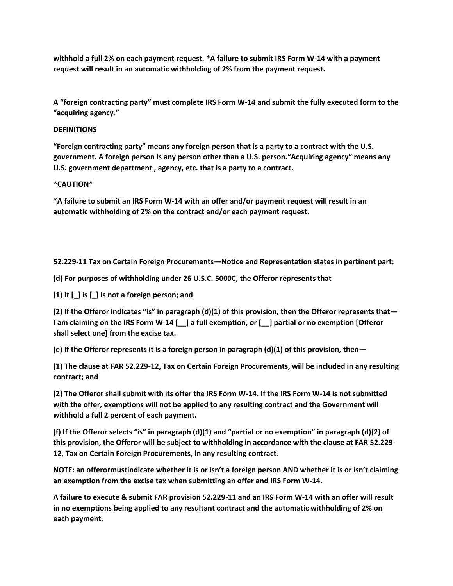**withhold a full 2% on each payment request. \*A failure to submit IRS Form W-14 with a payment request will result in an automatic withholding of 2% from the payment request.**

**A "foreign contracting party" must complete IRS Form W-14 and submit the fully executed form to the "acquiring agency."**

## **DEFINITIONS**

**"Foreign contracting party" means any foreign person that is a party to a contract with the U.S. government. A foreign person is any person other than a U.S. person."Acquiring agency" means any U.S. government department , agency, etc. that is a party to a contract.**

### **\*CAUTION\***

**\*A failure to submit an IRS Form W-14 with an offer and/or payment request will result in an automatic withholding of 2% on the contract and/or each payment request.**

**52.229-11 Tax on Certain Foreign Procurements—Notice and Representation states in pertinent part:**

**(d) For purposes of withholding under 26 U.S.C. 5000C, the Offeror represents that**

**(1) It [\_] is [\_] is not a foreign person; and**

**(2) If the Offeror indicates "is" in paragraph (d)(1) of this provision, then the Offeror represents that— I am claiming on the IRS Form W-14 [\_\_] a full exemption, or [\_\_] partial or no exemption [Offeror shall select one] from the excise tax.**

**(e) If the Offeror represents it is a foreign person in paragraph (d)(1) of this provision, then—**

**(1) The clause at FAR 52.229-12, Tax on Certain Foreign Procurements, will be included in any resulting contract; and**

**(2) The Offeror shall submit with its offer the IRS Form W-14. If the IRS Form W-14 is not submitted with the offer, exemptions will not be applied to any resulting contract and the Government will withhold a full 2 percent of each payment.**

**(f) If the Offeror selects "is" in paragraph (d)(1) and "partial or no exemption" in paragraph (d)(2) of this provision, the Offeror will be subject to withholding in accordance with the clause at FAR 52.229- 12, Tax on Certain Foreign Procurements, in any resulting contract.**

**NOTE: an offerormustindicate whether it is or isn't a foreign person AND whether it is or isn't claiming an exemption from the excise tax when submitting an offer and IRS Form W-14.**

**A failure to execute & submit FAR provision 52.229-11 and an IRS Form W-14 with an offer will result in no exemptions being applied to any resultant contract and the automatic withholding of 2% on each payment.**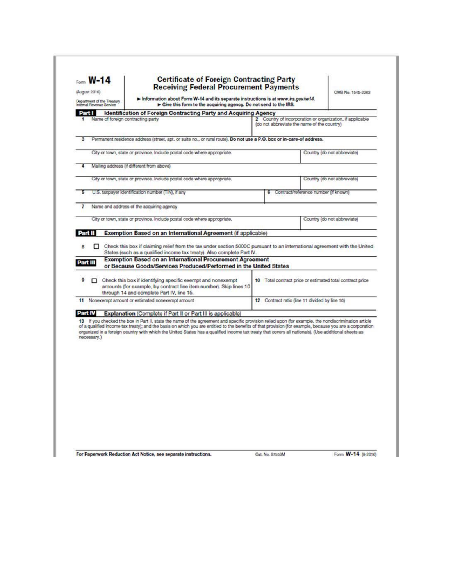| Form <b>W-14</b><br>(August 2016)<br>Department of the Treasury<br><b>Internal Flevenue Service</b> |             |  | <b>Certificate of Foreign Contracting Party</b><br><b>Receiving Federal Procurement Payments</b><br>Information about Form W-14 and its separate instructions is at www.irs.gov/w14.<br>Give this form to the acquiring agency. Do not send to the IRS.                                                                                                                                                                                                                 |  |                                                           |                                      | OME No. 1545-2263                                         |
|-----------------------------------------------------------------------------------------------------|-------------|--|-------------------------------------------------------------------------------------------------------------------------------------------------------------------------------------------------------------------------------------------------------------------------------------------------------------------------------------------------------------------------------------------------------------------------------------------------------------------------|--|-----------------------------------------------------------|--------------------------------------|-----------------------------------------------------------|
|                                                                                                     |             |  |                                                                                                                                                                                                                                                                                                                                                                                                                                                                         |  |                                                           |                                      |                                                           |
| Part I                                                                                              |             |  | <b>Identification of Foreign Contracting Party and Acquiring Agency</b><br>Name of foreign contracting party                                                                                                                                                                                                                                                                                                                                                            |  |                                                           |                                      |                                                           |
|                                                                                                     |             |  |                                                                                                                                                                                                                                                                                                                                                                                                                                                                         |  | (do not abbreviate the name of the country)               |                                      | 2 Country of incorporation or organization, if applicable |
|                                                                                                     |             |  | Permanent residence address (street, apt, or suite no., or rural route). Do not use a P.O. box or in-care-of address.                                                                                                                                                                                                                                                                                                                                                   |  |                                                           |                                      |                                                           |
|                                                                                                     |             |  | City or town, state or province. Include postal code where appropriate.                                                                                                                                                                                                                                                                                                                                                                                                 |  |                                                           |                                      | Country (do not abbreviate)                               |
|                                                                                                     |             |  |                                                                                                                                                                                                                                                                                                                                                                                                                                                                         |  |                                                           |                                      |                                                           |
|                                                                                                     |             |  | Mailing address (if different from above)                                                                                                                                                                                                                                                                                                                                                                                                                               |  |                                                           |                                      |                                                           |
|                                                                                                     |             |  | City or town, state or province. Include postal code where appropriate.                                                                                                                                                                                                                                                                                                                                                                                                 |  |                                                           |                                      | Country (do not abbreviate)                               |
|                                                                                                     |             |  | U.S. taxpayer identification number (TIN), if any                                                                                                                                                                                                                                                                                                                                                                                                                       |  |                                                           | Contract/reference number (if known) |                                                           |
|                                                                                                     |             |  | Name and address of the acquiring agency                                                                                                                                                                                                                                                                                                                                                                                                                                |  |                                                           |                                      |                                                           |
|                                                                                                     |             |  | City or town, state or province. Include postal code where appropriate.                                                                                                                                                                                                                                                                                                                                                                                                 |  |                                                           |                                      | Country (do not abbreviate)                               |
|                                                                                                     |             |  |                                                                                                                                                                                                                                                                                                                                                                                                                                                                         |  |                                                           |                                      |                                                           |
| Part II                                                                                             |             |  | Exemption Based on an International Agreement (if applicable)                                                                                                                                                                                                                                                                                                                                                                                                           |  |                                                           |                                      |                                                           |
|                                                                                                     |             |  | Check this box if claiming relief from the tax under section 5000C pursuant to an international agreement with the United                                                                                                                                                                                                                                                                                                                                               |  |                                                           |                                      |                                                           |
|                                                                                                     |             |  | States (such as a qualified income tax treaty). Also complete Part IV.<br><b>Exemption Based on an International Procurement Agreement</b>                                                                                                                                                                                                                                                                                                                              |  |                                                           |                                      |                                                           |
| Part III                                                                                            |             |  | or Because Goods/Services Produced/Performed in the United States                                                                                                                                                                                                                                                                                                                                                                                                       |  |                                                           |                                      |                                                           |
|                                                                                                     | п.          |  | Check this box if identifying specific exempt and nonexempt                                                                                                                                                                                                                                                                                                                                                                                                             |  | 10 Total contract price or estimated total contract price |                                      |                                                           |
|                                                                                                     |             |  | amounts (for example, by contract line item number). Skip lines 10<br>through 14 and complete Part IV, line 15.                                                                                                                                                                                                                                                                                                                                                         |  |                                                           |                                      |                                                           |
|                                                                                                     |             |  | 11 Nonexempt amount or estimated nonexempt amount                                                                                                                                                                                                                                                                                                                                                                                                                       |  | 12 Contract ratio (line 11 divided by line 10)            |                                      |                                                           |
|                                                                                                     |             |  |                                                                                                                                                                                                                                                                                                                                                                                                                                                                         |  |                                                           |                                      |                                                           |
| Part IV                                                                                             |             |  | <b>Explanation (Complete if Part II or Part III is applicable)</b>                                                                                                                                                                                                                                                                                                                                                                                                      |  |                                                           |                                      |                                                           |
|                                                                                                     | necessary.) |  | 13 If you checked the box in Part II, state the name of the agreement and specific provision relied upon (for example, the nondiscrimination article<br>of a qualified income tax treaty); and the basis on which you are entitled to the benefits of that provision (for example, because you are a corporation<br>organized in a foreign country with which the United States has a qualified income tax treaty that covers all nationals). (Use additional sheets as |  |                                                           |                                      |                                                           |
|                                                                                                     |             |  |                                                                                                                                                                                                                                                                                                                                                                                                                                                                         |  |                                                           |                                      |                                                           |